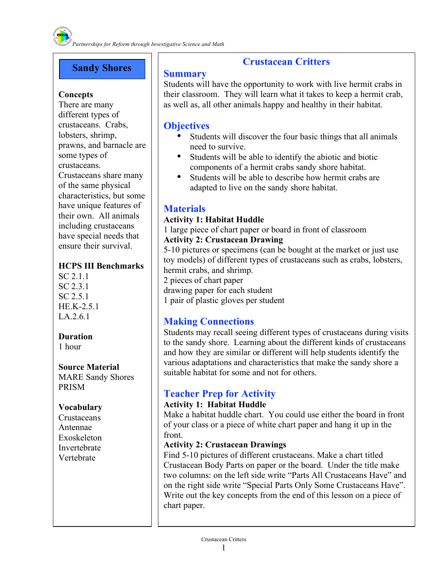*Partnerships for Reform through Investigative Science and Math*

### **Sandy Shores**

#### **Concepts**

There are many different types of crustaceans. Crabs, lobsters, shrimp, prawns, and barnacle are some types of crustaceans. Crustaceans share many of the same physical characteristics, but some have unique features of their own. All animals including crustaceans have special needs that ensure their survival.

### **HCPS III Benchmarks**

SC 2.1.1 SC 2.3.1 SC 2.5.1 HE.K-2.5.1 LA.2.6.1

### **Duration**

1 hour

### **Source Material**

MARE Sandy Shores PRISM

### **Vocabulary**

**Crustaceans** Antennae Exoskeleton Invertebrate Vertebrate

## **Crustacean Critters**

Students will have the opportunity to work with live hermit crabs in their classroom. They will learn what it takes to keep a hermit crab, as well as, all other animals happy and healthy in their habitat.

### **Objectives**

**Summary**

- Students will discover the four basic things that all animals need to survive.
- Students will be able to identify the abiotic and biotic components of a hermit crabs sandy shore habitat.
- Students will be able to describe how hermit crabs are adapted to live on the sandy shore habitat.

### **Materials**

#### **Activity 1: Habitat Huddle**

1 large piece of chart paper or board in front of classroom **Activity 2: Crustacean Drawing**

5-10 pictures or specimens (can be bought at the market or just use toy models) of different types of crustaceans such as crabs, lobsters, hermit crabs, and shrimp.

2 pieces of chart paper

drawing paper for each student

1 pair of plastic gloves per student

### **Making Connections**

Students may recall seeing different types of crustaceans during visits to the sandy shore. Learning about the different kinds of crustaceans and how they are similar or different will help students identify the various adaptations and characteristics that make the sandy shore a suitable habitat for some and not for others.

### **Teacher Prep for Activity**

### **Activity 1: Habitat Huddle**

Make a habitat huddle chart. You could use either the board in front of your class or a piece of white chart paper and hang it up in the front.

### **Activity 2: Crustacean Drawings**

Find 5-10 pictures of different crustaceans. Make a chart titled Crustacean Body Parts on paper or the board. Under the title make two columns: on the left side write "Parts All Crustaceans Have" and on the right side write "Special Parts Only Some Crustaceans Have". Write out the key concepts from the end of this lesson on a piece of chart paper.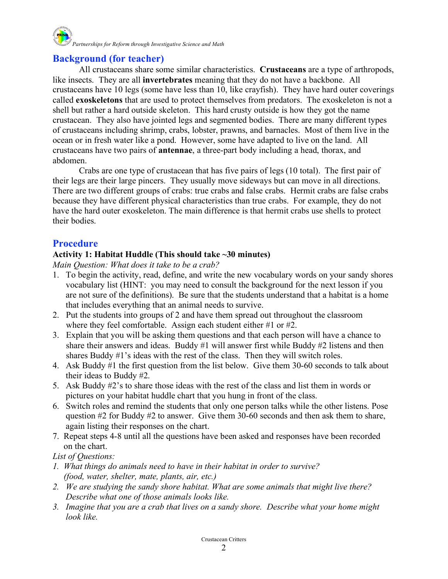

### **Background (for teacher)**

All crustaceans share some similar characteristics. **Crustaceans** are a type of arthropods, like insects. They are all **invertebrates** meaning that they do not have a backbone. All crustaceans have 10 legs (some have less than 10, like crayfish). They have hard outer coverings called **exoskeletons** that are used to protect themselves from predators. The exoskeleton is not a shell but rather a hard outside skeleton. This hard crusty outside is how they got the name crustacean. They also have jointed legs and segmented bodies. There are many different types of crustaceans including shrimp, crabs, lobster, prawns, and barnacles. Most of them live in the ocean or in fresh water like a pond. However, some have adapted to live on the land. All crustaceans have two pairs of **antennae**, a three-part body including a head, thorax, and abdomen.

Crabs are one type of crustacean that has five pairs of legs (10 total). The first pair of their legs are their large pincers. They usually move sideways but can move in all directions. There are two different groups of crabs: true crabs and false crabs. Hermit crabs are false crabs because they have different physical characteristics than true crabs. For example, they do not have the hard outer exoskeleton. The main difference is that hermit crabs use shells to protect their bodies.

### **Procedure**

### **Activity 1: Habitat Huddle (This should take ~30 minutes)**

*Main Question: What does it take to be a crab?*

- 1. To begin the activity, read, define, and write the new vocabulary words on your sandy shores vocabulary list (HINT: you may need to consult the background for the next lesson if you are not sure of the definitions). Be sure that the students understand that a habitat is a home that includes everything that an animal needs to survive.
- 2. Put the students into groups of 2 and have them spread out throughout the classroom where they feel comfortable. Assign each student either #1 or #2.
- 3. Explain that you will be asking them questions and that each person will have a chance to share their answers and ideas. Buddy #1 will answer first while Buddy #2 listens and then shares Buddy #1's ideas with the rest of the class. Then they will switch roles.
- 4. Ask Buddy #1 the first question from the list below. Give them 30-60 seconds to talk about their ideas to Buddy #2.
- 5. Ask Buddy #2's to share those ideas with the rest of the class and list them in words or pictures on your habitat huddle chart that you hung in front of the class.
- 6. Switch roles and remind the students that only one person talks while the other listens. Pose question #2 for Buddy #2 to answer. Give them 30-60 seconds and then ask them to share, again listing their responses on the chart.
- 7. Repeat steps 4-8 until all the questions have been asked and responses have been recorded on the chart.

*List of Questions:*

- *1. What things do animals need to have in their habitat in order to survive? (food, water, shelter, mate, plants, air, etc.)*
- *2. We are studying the sandy shore habitat. What are some animals that might live there? Describe what one of those animals looks like.*
- *3. Imagine that you are a crab that lives on a sandy shore. Describe what your home might look like.*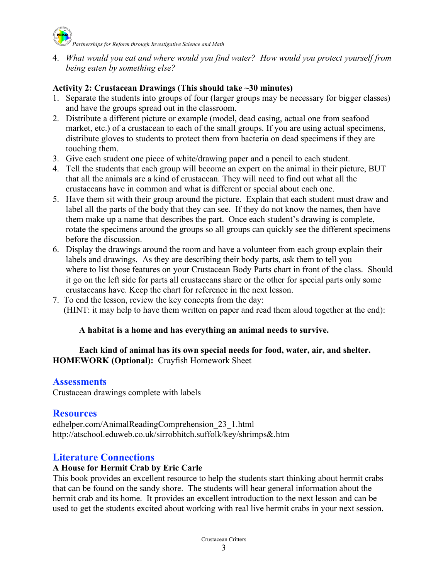

4. *What would you eat and where would you find water? How would you protect yourself from being eaten by something else?*

### **Activity 2: Crustacean Drawings (This should take ~30 minutes)**

- 1. Separate the students into groups of four (larger groups may be necessary for bigger classes) and have the groups spread out in the classroom.
- 2. Distribute a different picture or example (model, dead casing, actual one from seafood market, etc.) of a crustacean to each of the small groups. If you are using actual specimens, distribute gloves to students to protect them from bacteria on dead specimens if they are touching them.
- 3. Give each student one piece of white/drawing paper and a pencil to each student.
- 4. Tell the students that each group will become an expert on the animal in their picture, BUT that all the animals are a kind of crustacean. They will need to find out what all the crustaceans have in common and what is different or special about each one.
- 5. Have them sit with their group around the picture. Explain that each student must draw and label all the parts of the body that they can see. If they do not know the names, then have them make up a name that describes the part. Once each student's drawing is complete, rotate the specimens around the groups so all groups can quickly see the different specimens before the discussion.
- 6. Display the drawings around the room and have a volunteer from each group explain their labels and drawings. As they are describing their body parts, ask them to tell you where to list those features on your Crustacean Body Parts chart in front of the class. Should it go on the left side for parts all crustaceans share or the other for special parts only some crustaceans have. Keep the chart for reference in the next lesson.
- 7. To end the lesson, review the key concepts from the day: (HINT: it may help to have them written on paper and read them aloud together at the end):

### **A habitat is a home and has everything an animal needs to survive.**

### **Each kind of animal has its own special needs for food, water, air, and shelter. HOMEWORK (Optional):** Crayfish Homework Sheet

### **Assessments**

Crustacean drawings complete with labels

### **Resources**

edhelper.com/AnimalReadingComprehension\_23\_1.html http://atschool.eduweb.co.uk/sirrobhitch.suffolk/key/shrimps&.htm

### **Literature Connections**

### **A House for Hermit Crab by Eric Carle**

This book provides an excellent resource to help the students start thinking about hermit crabs that can be found on the sandy shore. The students will hear general information about the hermit crab and its home. It provides an excellent introduction to the next lesson and can be used to get the students excited about working with real live hermit crabs in your next session.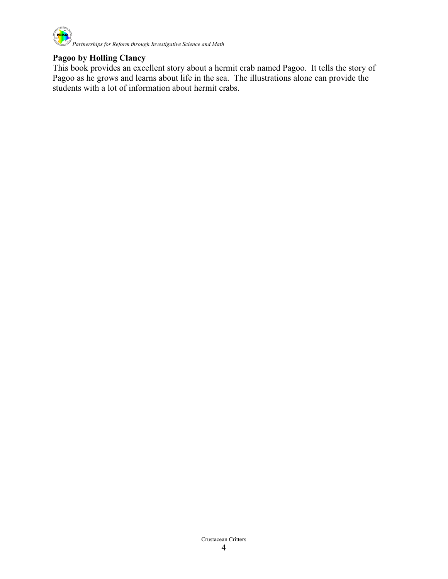

### **Pagoo by Holling Clancy**

This book provides an excellent story about a hermit crab named Pagoo. It tells the story of Pagoo as he grows and learns about life in the sea. The illustrations alone can provide the students with a lot of information about hermit crabs.